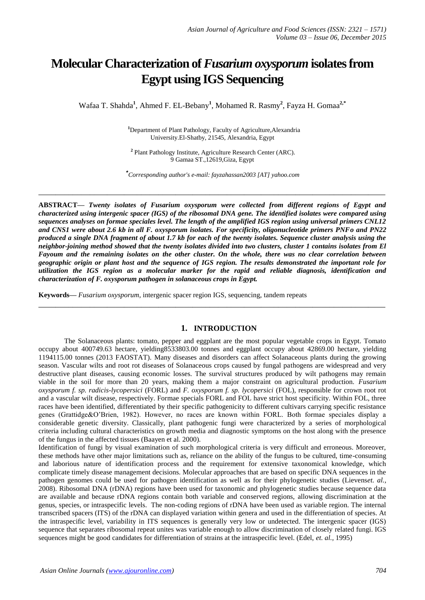# **Molecular Characterization of** *Fusarium oxysporum* **isolates from Egypt using IGS Sequencing**

Wafaa T. Shahda**<sup>1</sup>** , Ahmed F. EL-Bebany**<sup>1</sup>** , Mohamed R. Rasmy**<sup>2</sup>** , Fayza H. Gomaa**2,\***

**<sup>1</sup>**Department of Plant Pathology, Faculty of Agriculture,Alexandria University.El-Shatby, 21545, Alexandria, Egypt

**2** Plant Pathology Institute, Agriculture Research Center (ARC). 9 Gamaa ST.,12619,Giza, Egypt

*\* Corresponding author's e-mail: fayzahassan2003 [AT] yahoo.com* 

**\_\_\_\_\_\_\_\_\_\_\_\_\_\_\_\_\_\_\_\_\_\_\_\_\_\_\_\_\_\_\_\_\_\_\_\_\_\_\_\_\_\_\_\_\_\_\_\_\_\_\_\_\_\_\_\_\_\_\_\_\_\_\_\_\_\_\_\_\_\_\_\_\_\_\_\_\_\_\_\_\_**

**ABSTRACT—** *Twenty isolates of Fusarium oxysporum were collected from different regions of Egypt and characterized using intergenic spacer (IGS) of the ribosomal DNA gene. The identified isolates were compared using sequences analyses on formae speciales level. The length of the amplified IGS region using universal primers CNL12 and CNS1 were about 2.6 kb in all F. oxysporum isolates. For specificity, oligonucleotide primers PNFo and PN22 produced a single DNA fragment of about 1.7 kb for each of the twenty isolates. Sequence cluster analysis using the neighbor-joining method showed that the twenty isolates divided into two clusters, cluster 1 contains isolates from El Fayoum and the remaining isolates on the other cluster. On the whole, there was no clear correlation between geographic origin or plant host and the sequence of IGS region. The results demonstrated the important role for utilization the IGS region as a molecular marker for the rapid and reliable diagnosis, identification and characterization of F. oxysporum pathogen in solanaceous crops in Egypt.* 

**Keywords—** *Fusarium oxysporum*, intergenic spacer region IGS, sequencing, [tandem repeats](javascript:void(0))

## **1. INTRODUCTION**

**\_\_\_\_\_\_\_\_\_\_\_\_\_\_\_\_\_\_\_\_\_\_\_\_\_\_\_\_\_\_\_\_\_\_\_\_\_\_\_\_\_\_\_\_\_\_\_\_\_\_\_\_\_\_\_\_\_\_\_\_\_\_\_\_\_\_\_\_\_\_\_\_\_\_\_\_\_\_\_\_\_**

The Solanaceous plants: tomato, pepper and eggplant are the most popular vegetable crops in Egypt. Tomato occupy about 400749.63 hectare, yielding8533803.00 tonnes and eggplant occupy about 42869.00 hectare, yielding 1194115.00 tonnes (2013 FAOSTAT). Many diseases and disorders can affect Solanaceous plants during the growing season. Vascular wilts and root rot diseases of Solanaceous crops caused by fungal pathogens are widespread and very destructive plant diseases, causing economic losses. The survival structures produced by wilt pathogens may remain viable in the soil for more than 20 years, making them a major constraint on agricultural production. *Fusarium oxysporum f. sp. radicis-lycopersici* (FORL) and *F. oxysporum f. sp. lycopersici* (FOL), responsible for crown root rot and a vascular wilt disease, respectively. Formae specials FORL and FOL have strict host specificity. Within FOL, three races have been identified, differentiated by their specific pathogenicity to different cultivars carrying specific resistance genes (Grattidge&O'Brien, 1982). However, no races are known within FORL. Both formae speciales display a considerable genetic diversity. Classically, plant pathogenic fungi were characterized by a series of morphological criteria including cultural characteristics on growth media and diagnostic symptoms on the host along with the presence of the fungus in the affected tissues (Baayen et al. 2000).

Identification of fungi by visual examination of such morphological criteria is very difficult and erroneous. Moreover, these methods have other major limitations such as, reliance on the ability of the fungus to be cultured, time-consuming and laborious nature of identification process and the requirement for extensive taxonomical knowledge, which complicate timely disease management decisions. Molecular approaches that are based on specific DNA sequences in the pathogen genomes could be used for pathogen identification as well as for their phylogenetic studies (Lievens*et. al.,* 2008). Ribosomal DNA (rDNA) regions have been used for taxonomic and phylogenetic studies because sequence data are available and because rDNA regions contain both variable and conserved regions, allowing discrimination at the genus, species, or intraspecific levels. The non-coding regions of rDNA have been used as variable region. The internal transcribed spacers (ITS) of the rDNA can displayed variation within genera and used in the differentiation of species. At the intraspecific level, variability in ITS sequences is generally very low or undetected. The intergenic spacer (IGS) sequence that separates ribosomal repeat unites was variable enough to allow discrimination of closely related fungi. IGS sequences might be good candidates for differentiation of strains at the intraspecific level. (Edel, *et. al.,* 1995)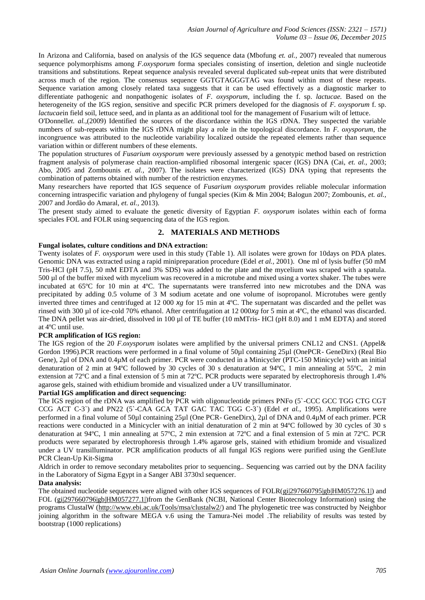In Arizona and California, based on analysis of the IGS sequence data (Mbofung *et. al.,* 2007) revealed that numerous sequence polymorphisms among *F.oxysporum* forma speciales consisting of insertion, deletion and single nucleotide transitions and substitutions. Repeat sequence analysis revealed several duplicated sub-repeat units that were distributed across much of the region. The consensus sequence GGTGTAGGGTAG was found within most of these repeats. Sequence variation among closely related taxa suggests that it can be used effectively as a diagnostic marker to differentiate pathogenic and nonpathogenic isolates of *F. oxysporum*, including the f. sp. *lactucae.* Based on the heterogeneity of the IGS region, sensitive and specific PCR primers developed for the diagnosis of *F. oxysporum* f. sp. *lactucae*in field soil, lettuce seed, and in planta as an additional tool for the management of Fusarium wilt of lettuce.

O'Donnell*et. al.,*(2009) Identified the sources of the discordance within the IGS rDNA. They suspected the variable numbers of sub-repeats within the IGS rDNA might play a role in the topological discordance. In *F. oxysporum*, the incongruence was attributed to the nucleotide variability localized outside the repeated elements rather than sequence variation within or different numbers of these elements.

The population structures of *Fusarium oxysporum* were previously assessed by a genotypic method based on restriction fragment analysis of polymerase chain reaction-amplified ribosomal intergenic spacer (IGS) DNA (Cai, *et. al.,* 2003; Abo, 2005 and Zombounis *et. al.,* 2007). The isolates were characterized (IGS) DNA typing that represents the combination of patterns obtained with number of the restriction enzymes.

Many researchers have reported that IGS sequence of *Fusarium oxysporum* provides reliable molecular information concerning intraspecific variation and phylogeny of fungal species (Kim & Min 2004; Balogun 2007; Zombounis, *et. al.,* 2007 and Jordão do Amaral, *et. al.,* 2013).

The present study aimed to evaluate the genetic diversity of Egyptian *F. oxysporum* isolates within each of forma speciales FOL and FOLR using sequencing data of the IGS region.

# **2. MATERIALS AND METHODS**

#### **Fungal isolates, culture conditions and DNA extraction:**

Twenty isolates of *F. oxysporum* were used in this study (Table 1). All isolates were grown for 10days on PDA plates. Genomic DNA was extracted using a rapid minipreparation procedure (Edel *et al.,* 2001). One ml of lysis buffer (50 mM Tris-HCl (pH 7.5), 50 mM EDTA and 3% SDS) was added to the plate and the mycelium was scraped with a spatula. 500 µl of the buffer mixed with mycelium was recovered in a microtube and mixed using a vortex shaker. The tubes were incubated at 65ºC for 10 min at 4ºC. The supernatants were transferred into new microtubes and the DNA was precipitated by adding 0.5 volume of 3 M sodium acetate and one volume of isopropanol. Microtubes were gently inverted three times and centrifuged at 12 000 *xg* for 15 min at 4ºC. The supernatant was discarded and the pellet was rinsed with 300 µl of ice-cold 70% ethanol. After centrifugation at 12 000*xg* for 5 min at 4ºC, the ethanol was discarded. The DNA pellet was air-dried, dissolved in 100 µl of TE buffer (10 mMTris- HCl (pH 8.0) and 1 mM EDTA) and stored at 4ºC until use.

#### **PCR amplification of IGS region:**

The IGS region of the 20 *F.oxysporum* isolates were amplified by the universal primers CNL12 and CNS1. (Appel& Gordon 1996).PCR reactions were performed in a final volume of 50µl containing 25µl (OnePCR- GeneDirx) (Real Bio Gene), 2µl of DNA and 0.4µM of each primer. PCR were conducted in a Minicycler (PTC-150 Minicycle) with an initial denaturation of 2 min at 94ºC followed by 30 cycles of 30 s denaturation at 94ºC, 1 min annealing at 55ºC, 2 min extension at 72ºC and a final extension of 5 min at 72ºC. PCR products were separated by electrophoresis through 1.4% agarose gels, stained with ethidium bromide and visualized under a UV transilluminator.

#### **Partial IGS amplification and direct sequencing:**

The IGS region of the rDNA was amplified by PCR with oligonucleotide primers PNFo (5`-CCC GCC TGG CTG CGT CCG ACT C-3`) and PN22 (5`-CAA GCA TAT GAC TAC TGG C-3`) (Edel *et al.*, 1995). Amplifications were performed in a final volume of 50µl containing 25µl (One PCR- GeneDirx), 2µl of DNA and 0.4µM of each primer. PCR reactions were conducted in a Minicycler with an initial denaturation of 2 min at 94ºC followed by 30 cycles of 30 s denaturation at 94ºC, 1 min annealing at 57ºC, 2 min extension at 72ºC and a final extension of 5 min at 72ºC. PCR products were separated by electrophoresis through 1.4% agarose gels, stained with ethidium bromide and visualized under a UV transilluminator. PCR amplification products of all fungal IGS regions were purified using the GenElute PCR Clean-Up Kit-Sigma

Aldrich in order to remove secondary metabolites prior to sequencing.. Sequencing was carried out by the DNA facility in the Laboratory of Sigma Egypt in a Sanger ABI 3730xl sequencer.

#### **Data analysis:**

The obtained nucleotide sequences were aligned with other IGS sequences of FOLR[\(gi|297660795|gb|HM057276.1|\)](http://www.ncbi.nlm.nih.gov/sites/entrez?cmd=Search&db=nucleotide&term=HM057276.1&dopt=GenBank) and FOL [\(gi|297660796|gb|HM057277.1|\)](http://www.ncbi.nlm.nih.gov/sites/entrez?cmd=Search&db=nucleotide&term=HM057277.1&dopt=GenBank)from the GenBank (NCBI, National Center Biotecnology Information) using the programs ClustalW [\(http://www.ebi.ac.uk/Tools/msa/clustalw2/\)](http://www.ebi.ac.uk/Tools/msa/clustalw2/) and The phylogenetic tree was constructed by Neighbor joining algorithm in the software MEGA v.6 using the Tamura-Nei model .The reliability of results was tested by bootstrap (1000 replications)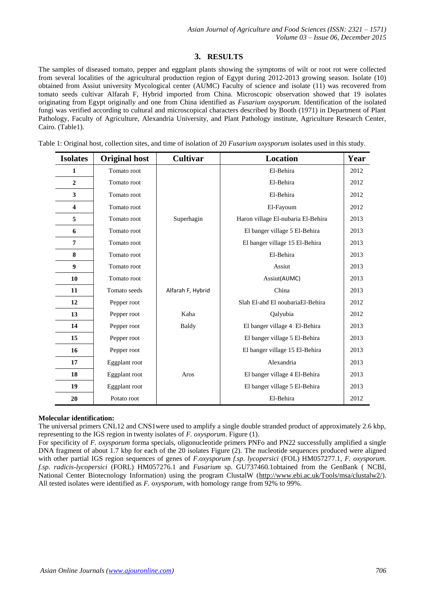# **3. RESULTS**

The samples of diseased tomato, pepper and eggplant plants showing the symptoms of wilt or root rot were collected from several localities of the agricultural production region of Egypt during 2012-2013 growing season. Isolate (10) obtained from Assiut university Mycological center (AUMC) Faculty of science and isolate (11) was recovered from tomato seeds cultivar Alfarah F, Hybrid imported from China. Microscopic observation showed that 19 isolates originating from Egypt originally and one from China identified as *Fusarium oxysporum.* Identification of the isolated fungi was verified according to cultural and microscopical characters described by Booth (1971) in Department of Plant Pathology, Faculty of Agriculture, Alexandria University, and Plant Pathology institute, Agriculture Research Center, Cairo. (Table1).

Table 1: Original host, collection sites, and time of isolation of 20 *Fusarium oxysporum* isolates used in this study.

| <b>Isolates</b>         | <b>Original host</b> | Cultivar          | <b>Location</b>                    | Year |
|-------------------------|----------------------|-------------------|------------------------------------|------|
| 1                       | Tomato root          |                   | El-Behira                          | 2012 |
| $\overline{2}$          | Tomato root          |                   | El-Behira                          | 2012 |
| 3                       | Tomato root          |                   | El-Behira                          | 2012 |
| $\overline{\mathbf{4}}$ | Tomato root          |                   | El-Fayoum                          | 2012 |
| 5                       | Tomato root          | Superhagin        | Haron village El-nubaria El-Behira | 2013 |
| 6                       | Tomato root          |                   | El banger village 5 El-Behira      | 2013 |
| 7                       | Tomato root          |                   | El banger village 15 El-Behira     | 2013 |
| 8                       | Tomato root          |                   | El-Behira                          | 2013 |
| 9                       | Tomato root          |                   | Assiut                             | 2013 |
| 10                      | Tomato root          |                   | Assiut(AUMC)                       | 2013 |
| 11                      | Tomato seeds         | Alfarah F, Hybrid | China                              | 2013 |
| 12                      | Pepper root          |                   | Slah El-abd El noubaria El-Behira  | 2012 |
| 13                      | Pepper root          | Kaha              | Qalyubia                           | 2012 |
| 14                      | Pepper root          | Baldy             | El banger village 4 El-Behira      | 2013 |
| 15                      | Pepper root          |                   | El banger village 5 El-Behira      | 2013 |
| 16                      | Pepper root          |                   | El banger village 15 El-Behira     | 2013 |
| 17                      | Eggplant root        |                   | Alexandria                         | 2013 |
| 18                      | Eggplant root        | Aros              | El banger village 4 El-Behira      | 2013 |
| 19                      | Eggplant root        |                   | El banger village 5 El-Behira      | 2013 |
| 20                      | Potato root          |                   | El-Behira                          | 2012 |

#### **Molecular identification:**

The universal primers CNL12 and CNS1were used to amplify a single double stranded product of approximately 2.6 kbp, representing to the IGS region in twenty isolates of *F. oxysporum*. Figure (1).

For specificity of *F. oxysporum* forma specials, oligonucleotide primers PNFo and PN22 successfully amplified a single DNA fragment of about 1.7 kbp for each of the 20 isolates Figure (2). The nucleotide sequences produced were aligned with other partial IGS region sequences of genes of *F.oxysporum f.sp. lycopersici* (FOL) HM057277.1, *F. oxysporum. f.sp. radicis-lycopersici* (FORL) HM057276.1 and *Fusarium* sp. GU737460.1obtained from the GenBank ( NCBI, National Center Biotecnology Information) using the program ClustalW [\(http://www.ebi.ac.uk/Tools/msa/clustalw2/\)](http://www.ebi.ac.uk/Tools/msa/clustalw2/). All tested isolates were identified as *F. oxysporum*, with homology range from 92% to 99%.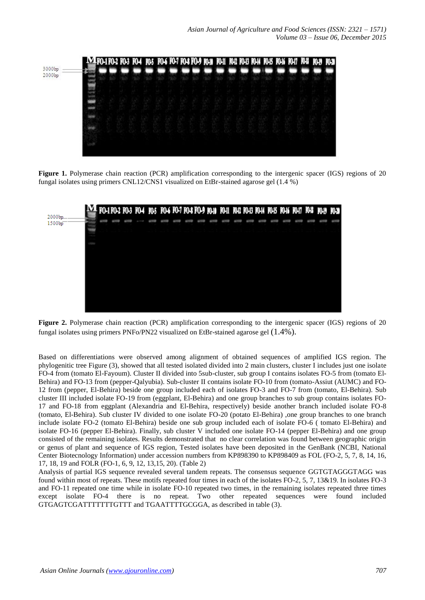

**Figure 1.** Polymerase chain reaction (PCR) amplification corresponding to the intergenic spacer (IGS) regions of 20 fungal isolates using primers CNL12/CNS1 visualized on EtBr-stained agarose gel (1.4 %)



**Figure 2.** Polymerase chain reaction (PCR) amplification corresponding to the intergenic spacer (IGS) regions of 20 fungal isolates using primers PNFo/PN22 visualized on EtBr-stained agarose gel (1.4%).

Based on differentiations were observed among alignment of obtained sequences of amplified IGS region. The phylogenitic tree Figure (3), showed that all tested isolated divided into 2 main clusters, cluster I includes just one isolate FO-4 from (tomato El-Fayoum). Cluster II divided into 5sub-cluster, sub group I contains isolates FO-5 from (tomato El-Behira) and FO-13 from (pepper-Qalyubia). Sub-cluster II contains isolate FO-10 from (tomato-Assiut (AUMC) and FO-12 from (pepper, El-Behira) beside one group included each of isolates FO-3 and FO-7 from (tomato, El-Behira). Sub cluster III included isolate FO-19 from (eggplant, El-Behira) and one group branches to sub group contains isolates FO-17 and FO-18 from eggplant (Alexandria and El-Behira, respectively) beside another branch included isolate FO-8 (tomato, El-Behira). Sub cluster IV divided to one isolate FO-20 (potato El-Behira) ,one group branches to one branch include isolate FO-2 (tomato El-Behira) beside one sub group included each of isolate FO-6 ( tomato El-Behira) and isolate FO-16 (pepper El-Behira). Finally, sub cluster V included one isolate FO-14 (pepper El-Behira) and one group consisted of the remaining isolates. Results demonstrated that no clear correlation was found between geographic origin or genus of plant and sequence of IGS region, Tested isolates have been deposited in the GenBank (NCBI, National Center Biotecnology Information) under accession numbers from KP898390 to KP898409 as FOL (FO-2, 5, 7, 8, 14, 16, 17, 18, 19 and FOLR (FO-1, 6, 9, 12, 13,15, 20). (Table 2)

Analysis of partial IGS sequence revealed several tandem repeats. The consensus sequence GGTGTAGGGTAGG was found within most of repeats. These motifs repeated four times in each of the isolates FO-2, 5, 7, 13&19. In isolates FO-3 and FO-11 repeated one time while in isolate FO-10 repeated two times, in the remaining isolates repeated three times except isolate FO-4 there is no repeat. Two other repeated sequences were found included GTGAGTCGATTTTTTTGTTT and TGAATTTTGCGGA, as described in table (3).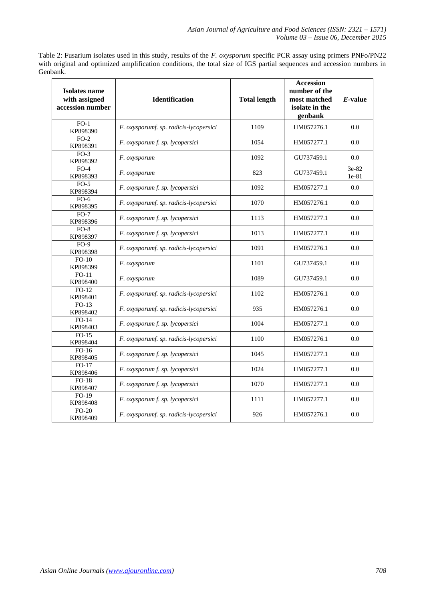Table 2: Fusarium isolates used in this study, results of the *F. oxysporum* specific PCR assay using primers PNFo/PN22 with original and optimized amplification conditions, the total size of IGS partial sequences and accession numbers in Genbank.

| Isolates name<br>with assigned<br>accession number | <b>Identification</b>                  | <b>Total length</b> | <b>Accession</b><br>number of the<br>most matched<br>isolate in the<br>genbank | $E$ -value         |
|----------------------------------------------------|----------------------------------------|---------------------|--------------------------------------------------------------------------------|--------------------|
| $FO-1$<br>KP898390                                 | F. oxysporumf. sp. radicis-lycopersici | 1109                | HM057276.1                                                                     | 0.0                |
| $FO-2$<br>KP898391                                 | F. oxysporum f. sp. lycopersici        | 1054                | HM057277.1                                                                     | 0.0                |
| $FO-3$<br>KP898392                                 | F. oxysporum                           | 1092                | GU737459.1                                                                     | 0.0                |
| $FO-4$<br>KP898393                                 | F. oxysporum                           | 823                 | GU737459.1                                                                     | $3e-82$<br>$1e-81$ |
| $FO-5$<br>KP898394                                 | F. oxysporum f. sp. lycopersici        | 1092                | HM057277.1                                                                     | 0.0                |
| $FO-6$<br>KP898395                                 | F. oxysporumf. sp. radicis-lycopersici | 1070                | HM057276.1                                                                     | 0.0                |
| $FO-7$<br>KP898396                                 | F. oxysporum f. sp. lycopersici        | 1113                | HM057277.1                                                                     | 0.0                |
| $FO-8$<br>KP898397                                 | F. oxysporum f. sp. lycopersici        | 1013                | HM057277.1                                                                     | 0.0                |
| $FO-9$<br>KP898398                                 | F. oxysporumf. sp. radicis-lycopersici | 1091                | HM057276.1                                                                     | 0.0                |
| $FO-10$<br>KP898399                                | F. oxysporum                           | 1101                | GU737459.1                                                                     | 0.0                |
| $FO-11$<br>KP898400                                | F. oxysporum                           | 1089                | GU737459.1                                                                     | 0.0                |
| $FO-12$<br>KP898401                                | F. oxysporumf. sp. radicis-lycopersici | 1102                | HM057276.1                                                                     | 0.0                |
| $FO-13$<br>KP898402                                | F. oxysporumf. sp. radicis-lycopersici | 935                 | HM057276.1                                                                     | 0.0                |
| $FO-14$<br>KP898403                                | F. oxysporum f. sp. lycopersici        | 1004                | HM057277.1                                                                     | 0.0                |
| $FO-15$<br>KP898404                                | F. oxysporumf. sp. radicis-lycopersici | 1100                | HM057276.1                                                                     | 0.0                |
| $FO-16$<br>KP898405                                | F. oxysporum f. sp. lycopersici        | 1045                | HM057277.1                                                                     | 0.0                |
| $FO-17$<br>KP898406                                | F. oxysporum f. sp. lycopersici        | 1024                | HM057277.1                                                                     | 0.0                |
| $FO-18$<br>KP898407                                | F. oxysporum f. sp. lycopersici        | 1070                | HM057277.1                                                                     | 0.0                |
| FO-19<br>KP898408                                  | F. oxysporum f. sp. lycopersici        | 1111                | HM057277.1                                                                     | 0.0                |
| FO-20<br>KP898409                                  | F. oxysporumf. sp. radicis-lycopersici | 926                 | HM057276.1                                                                     | 0.0                |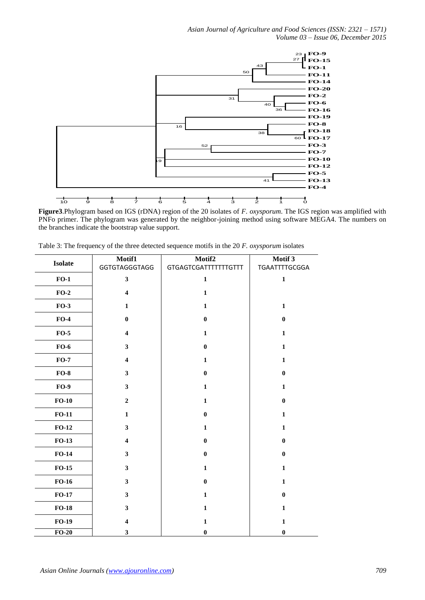

**Figure3**.Phylogram based on IGS (rDNA) region of the 20 isolates of *F. oxysporum*. The IGS region was amplified with PNFo primer. The phylogram was generated by the neighbor-joining method using software MEGA4. The numbers on the branches indicate the bootstrap value support.

|                | Motif1                  | Motif2                      | Motif 3          |
|----------------|-------------------------|-----------------------------|------------------|
| <b>Isolate</b> | <b>GGTGTAGGGTAGG</b>    | <b>GTGAGTCGATTTTTTTGTTT</b> | TGAATTTTGCGGA    |
| $FO-1$         | $\mathbf{3}$            | $\mathbf{1}$                | $\mathbf{1}$     |
| $FO-2$         | $\overline{\mathbf{4}}$ | $\mathbf 1$                 |                  |
| $FO-3$         | $\mathbf{1}$            | $\mathbf{1}$                | $\mathbf{1}$     |
| $FO-4$         | $\boldsymbol{0}$        | $\bf{0}$                    | $\boldsymbol{0}$ |
| $FO-5$         | $\overline{\mathbf{4}}$ | $\mathbf{1}$                | $\mathbf{1}$     |
| $FO-6$         | $\mathbf{3}$            | $\bf{0}$                    | $\mathbf{1}$     |
| $FO-7$         | $\boldsymbol{4}$        | 1                           | $\mathbf{1}$     |
| $FO-8$         | $\mathbf{3}$            | $\bf{0}$                    | $\bf{0}$         |
| $FO-9$         | $\mathbf{3}$            | $\mathbf{1}$                | $\mathbf{1}$     |
| $FO-10$        | $\overline{2}$          | $\mathbf{1}$                | $\bf{0}$         |
| $FO-11$        | $\mathbf 1$             | $\bf{0}$                    | $\mathbf{1}$     |
| $FO-12$        | $\mathbf{3}$            | $\mathbf{1}$                | $\mathbf{1}$     |
| $FO-13$        | $\overline{\mathbf{4}}$ | $\bf{0}$                    | $\boldsymbol{0}$ |
| $FO-14$        | $\overline{\mathbf{3}}$ | $\bf{0}$                    | $\bf{0}$         |
| $FO-15$        | $\overline{\mathbf{3}}$ | $\mathbf{1}$                | $\mathbf{1}$     |
| $FO-16$        | $\mathbf{3}$            | $\bf{0}$                    | $\mathbf{1}$     |
| $FO-17$        | $\mathbf{3}$            | $\mathbf 1$                 | $\boldsymbol{0}$ |
| $FO-18$        | $\mathbf{3}$            | $\mathbf{1}$                | $\mathbf{1}$     |
| $FO-19$        | $\overline{\mathbf{4}}$ | $\mathbf{1}$                | $\mathbf{1}$     |
| $FO-20$        | 3                       | $\bf{0}$                    | $\bf{0}$         |

Table 3: The frequency of the three detected sequence motifs in the 20 *F. oxysporum* isolates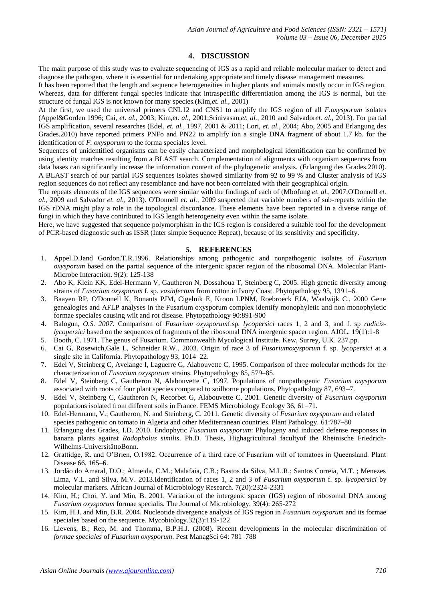# **4. DISCUSSION**

The main purpose of this study was to evaluate sequencing of IGS as a rapid and reliable molecular marker to detect and diagnose the pathogen, where it is essential for undertaking appropriate and timely disease management measures.

It has been reported that the length and sequence heterogeneities in higher plants and animals mostly occur in IGS region. Whereas, data for different fungal species indicate that intraspecific differentiation among the IGS is normal, but the structure of fungal IGS is not known for many species.(Kim,*et. al.,* 2001)

At the first, we used the universal primers CNL12 and CNS1 to amplify the IGS region of all *F.oxysporum* isolates (Appel&Gorden 1996; Cai, *et. al.,* 2003; Kim*,et. al.,* 2001;Srinivasan*,et. al.,* 2010 and Salvador*et. al.,* 2013). For partial IGS amplification, several researches (Edel, *et. al.,* 1997, 2001 & 2011; Lori, *et. al.,* 2004; Abo, 2005 and Erlangung des Grades.2010) have reported primers PNFo and PN22 to amplify ion a single DNA fragment of about 1.7 kb. for the identification of *F. oxysporum* to the forma speciales level.

Sequences of unidentified organisms can be easily characterized and morphological identification can be confirmed by using identity matches resulting from a BLAST search. Complementation of alignments with organism sequences from data bases can significantly increase the information content of the phylogenetic analysis. (Erlangung des Grades.2010). A BLAST search of our partial IGS sequences isolates showed similarity from 92 to 99 % and Cluster analysis of IGS region sequences do not reflect any resemblance and have not been correlated with their geographical origin.

The repeats elements of the IGS sequences were similar with the findings of each of (Mbofung *et. al.,* 2007;O'Donnell *et. al.,* 2009 and Salvador *et. al.,* 2013). O'Donnell *et. al.,* 2009 suspected that variable numbers of sub-repeats within the IGS rDNA might play a role in the topological discordance. These elements have been reported in a diverse range of fungi in which they have contributed to IGS length heterogeneity even within the same isolate.

Here, we have suggested that sequence polymorphism in the IGS region is considered a suitable tool for the development of PCR-based diagnostic such as ISSR (Inter simple Sequence Repeat), because of its sensitivity and specificity.

## **5. REFERENCES**

- 1. Appel.D.Jand Gordon.T.R.1996. Relationships among pathogenic and nonpathogenic isolates of *Fusarium oxysporum* based on the partial sequence of the intergenic spacer region of the ribosomal DNA. Molecular Plant-Microbe Interaction. 9(2): 125-138
- 2. Abo K, Klein KK, Edel-Hermann V, Gautheron N, Dossahoua T, Steinberg C, 2005. High genetic diversity among strains of *Fusarium oxysporum* f. sp. *vasinfectum* from cotton in Ivory Coast. Phytopathology 95, 1391–6.
- 3. Baayen RP, O'Donnell K, Bonants PJM, Cigelnik E, Kroon LPNM, Roebroeck EJA, Waalwijk C., 2000 Gene genealogies and AFLP analyses in the Fusarium oxysporum complex identify monophyletic and non monophyletic formae speciales causing wilt and rot disease. Phytopathology 90:891-900
- 4. Balogun*, O.S. 2007.* Comparison of *Fusarium oxysporum*f.sp*. lycopersici* races 1, 2 and 3, and f. sp *radicislycopersici* based on the sequences of fragments of the ribosomal DNA intergenic spacer region. AJOL. 19(1):1-8
- 5. Booth, C. 1971. The genus of Fusarium. Commonwealth Mycological Institute. Kew, Surrey, U.K. 237.pp.
- 6. Cai G, Rosewich,Gale L, Schneider R.W., 2003. Origin of race 3 of *Fusariumoxysporum* f. sp*. lycopersici* at a single site in California. Phytopathology 93, 1014–22.
- 7. Edel V, Steinberg C, Avelange I, Laguerre G, Alabouvette C, 1995. Comparison of three molecular methods for the characterization of *Fusarium oxysporum* strains. Phytopathology 85, 579–85.
- 8. Edel V, Steinberg C, Gautheron N, Alabouvette C, 1997. Populations of nonpathogenic *Fusarium oxysporum* associated with roots of four plant species compared to soilborne populations. Phytopathology 87, 693–7.
- 9. Edel V, Steinberg C, Gautheron N, Recorbet G, Alabouvette C, 2001. Genetic diversity of *Fusarium oxysporum* populations isolated from different soils in France. FEMS Microbiology Ecology 36, 61–71.
- 10. Edel-Hermann, V.; Gautheron, N. and Steinberg, C. 2011. Genetic diversity of *Fusarium oxysporum* and related species pathogenic on tomato in Algeria and other Mediterranean countries. Plant Pathology. 61:787–80
- 11. Erlangung des Grades, I.D. 2010. Endophytic *Fusarium oxysporum*: Phylogeny and induced defense responses in banana plants against *Radopholus similis*. Ph.D. Thesis, Highagricultural facultyof the Rheinische Friedrich-Wilhelms-UniversitättoBonn.
- 12. Grattidge, R. and O'Brien, O.1982. Occurrence of a third race of Fusarium wilt of tomatoes in Queensland. Plant Disease 66, 165–6.
- 13. Jordão do Amaral, D.O.; Almeida, C.M.; Malafaia, C.B.; Bastos da Silva, M.L.R.; Santos Correia, M.T. ; Menezes Lima, V.L. and Silva, M.V. 2013.Identification of races 1, 2 and 3 of *Fusarium oxysporum* f. sp. *lycopersici* by molecular markers. African Journal of Microbiology Research. 7(20):2324-2331
- 14. Kim, H.; Choi, Y. and Min, B. 2001. Variation of the intergenic spacer (IGS) region of ribosomal DNA among *Fusarium oxysporum* formae specialis. The Journal of Microbiology. 39(4): 265-272
- 15. Kim, H.J. and Min, B.R. 2004. Nucleotide divergence analysis of IGS region in *Fusarium oxysporum* and its formae speciales based on the sequence. Mycobiology.32(3):119-122
- 16. Lievens, B.; Rep, M. and Thomma, B.P.H.J. (2008). Recent developments in the molecular discrimination of *formae speciales* of *Fusarium oxysporum*. Pest ManagSci 64: 781–788